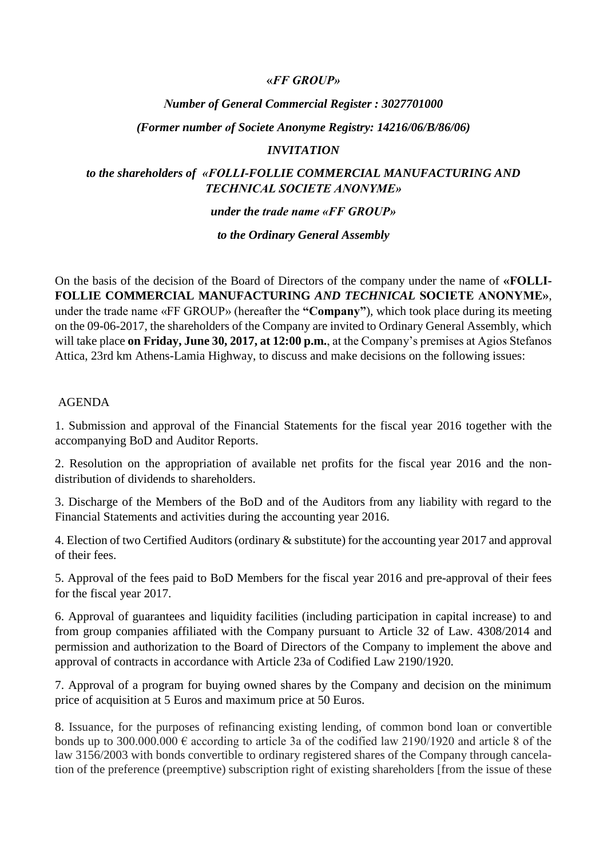### **«***FF GROUP»*

## *Νumber of General Commercial Register : 3027701000*

#### *(Former number οf Societe Anonyme Registry: 14216/06/B/86/06)*

#### *INVITATION*

### *to the shareholders of «FOLLI-FOLLIE COMMERCIAL MANUFACTURING AND TECHNICAL SOCIETE ANONYME»*

#### *under the trade name «FF GROUP»*

#### *to the Ordinary General Assembly*

On the basis of the decision of the Board of Directors of the company under the name of **«FOLLI-FOLLIE COMMERCIAL MANUFACTURING** *AND TECHNICAL* **SOCIETE ANONYME»**, under the trade name «FF GROUP» (hereafter the **"Company"**), which took place during its meeting on the 09-06-2017, the shareholders of the Company are invited to Ordinary General Assembly, which will take place **on Friday, June 30, 2017, at 12:00 p.m.**, at the Company's premises at Agios Stefanos Attica, 23rd km Athens-Lamia Highway, to discuss and make decisions on the following issues:

#### AGENDA

1. Submission and approval of the Financial Statements for the fiscal year 2016 together with the accompanying BoD and Auditor Reports.

2. Resolution on the appropriation of available net profits for the fiscal year 2016 and the nondistribution of dividends to shareholders.

3. Discharge of the Members of the BoD and of the Auditors from any liability with regard to the Financial Statements and activities during the accounting year 2016.

4. Election of two Certified Auditors (ordinary & substitute) for the accounting year 2017 and approval of their fees.

5. Approval of the fees paid to BoD Members for the fiscal year 2016 and pre-approval of their fees for the fiscal year 2017.

6. Approval of guarantees and liquidity facilities (including participation in capital increase) to and from group companies affiliated with the Company pursuant to Article 32 of Law. 4308/2014 and permission and authorization to the Board of Directors of the Company to implement the above and approval of contracts in accordance with Article 23a of Codified Law 2190/1920.

7. Approval of a program for buying owned shares by the Company and decision on the minimum price of acquisition at 5 Euros and maximum price at 50 Euros.

8. Issuance, for the purposes of refinancing existing lending, of common bond loan or convertible bonds up to 300.000.000  $\epsilon$  according to article 3a of the codified law 2190/1920 and article 8 of the law 3156/2003 with bonds convertible to ordinary registered shares of the Company through cancelation of the preference (preemptive) subscription right of existing shareholders [from the issue of these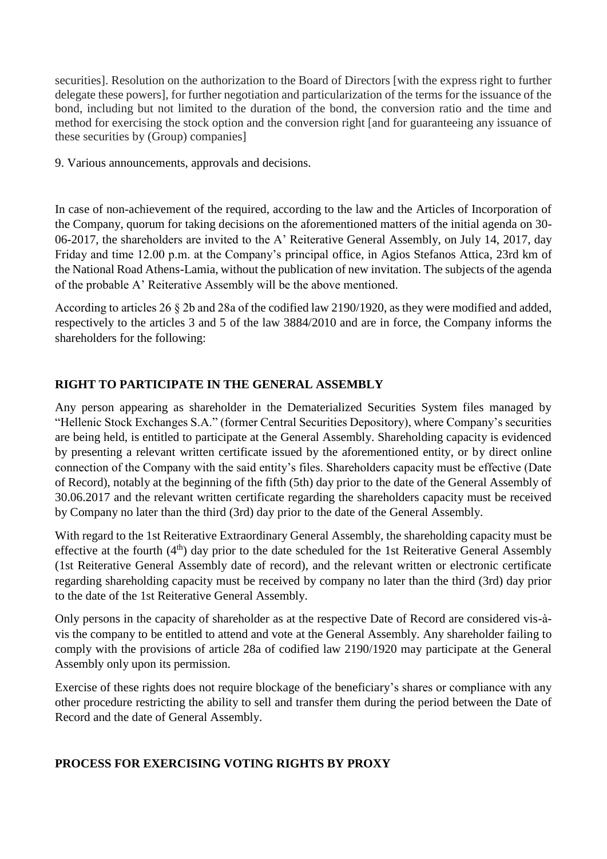securities]. Resolution on the authorization to the Board of Directors [with the express right to further delegate these powers], for further negotiation and particularization of the terms for the issuance of the bond, including but not limited to the duration of the bond, the conversion ratio and the time and method for exercising the stock option and the conversion right [and for guaranteeing any issuance of these securities by (Group) companies]

9. Various announcements, approvals and decisions.

In case of non-achievement οf the required, according to the law and the Articles of Incorporation of the Company, quorum for taking decisions on the aforementioned matters of the initial agenda on 30- 06-2017, the shareholders are invited to the A' Reiterative General Assembly, on July 14, 2017, day Friday and time 12.00 p.m. at the Company's principal office, in Agios Stefanos Attica, 23rd km of the National Road Athens-Lamia, without the publication of new invitation. The subjects of the agenda of the probable A' Reiterative Assembly will be the above mentioned.

According to articles 26  $\S$  2b and 28a of the codified law 2190/1920, as they were modified and added, respectively to the articles 3 and 5 of the law 3884/2010 and are in force, the Company informs the shareholders for the following:

# **RIGHT TO PARTICIPATE IN THE GENERAL ASSEMBLY**

Any person appearing as shareholder in the Dematerialized Securities System files managed by "Hellenic Stock Exchanges S.A." (former Central Securities Depository), where Company's securities are being held, is entitled to participate at the General Assembly. Shareholding capacity is evidenced by presenting a relevant written certificate issued by the aforementioned entity, or by direct online connection of the Company with the said entity's files. Shareholders capacity must be effective (Date of Record), notably at the beginning of the fifth (5th) day prior to the date of the General Assembly of 30.06.2017 and the relevant written certificate regarding the shareholders capacity must be received by Company no later than the third (3rd) day prior to the date of the General Assembly.

With regard to the 1st Reiterative Extraordinary General Assembly, the shareholding capacity must be effective at the fourth  $(4<sup>th</sup>)$  day prior to the date scheduled for the 1st Reiterative General Assembly (1st Reiterative General Assembly date of record), and the relevant written or electronic certificate regarding shareholding capacity must be received by company no later than the third (3rd) day prior to the date of the 1st Reiterative General Assembly.

Only persons in the capacity of shareholder as at the respective Date of Record are considered vis-àvis the company to be entitled to attend and vote at the General Assembly. Any shareholder failing to comply with the provisions of article 28a of codified law 2190/1920 may participate at the General Assembly only upon its permission.

Exercise of these rights does not require blockage of the beneficiary's shares or compliance with any other procedure restricting the ability to sell and transfer them during the period between the Date of Record and the date of General Assembly.

## **PROCESS FOR EXERCISING VOTING RIGHTS BY PROXY**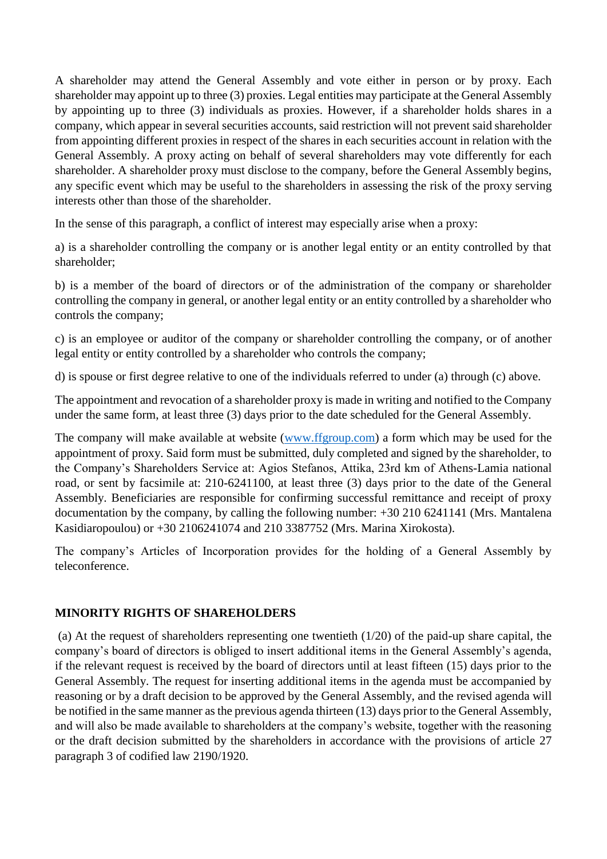A shareholder may attend the General Assembly and vote either in person or by proxy. Each shareholder may appoint up to three (3) proxies. Legal entities may participate at the General Assembly by appointing up to three (3) individuals as proxies. However, if a shareholder holds shares in a company, which appear in several securities accounts, said restriction will not prevent said shareholder from appointing different proxies in respect of the shares in each securities account in relation with the General Assembly. A proxy acting on behalf of several shareholders may vote differently for each shareholder. A shareholder proxy must disclose to the company, before the General Assembly begins, any specific event which may be useful to the shareholders in assessing the risk of the proxy serving interests other than those of the shareholder.

In the sense of this paragraph, a conflict of interest may especially arise when a proxy:

a) is a shareholder controlling the company or is another legal entity or an entity controlled by that shareholder;

b) is a member of the board of directors or of the administration of the company or shareholder controlling the company in general, or another legal entity or an entity controlled by a shareholder who controls the company;

c) is an employee or auditor of the company or shareholder controlling the company, or of another legal entity or entity controlled by a shareholder who controls the company;

d) is spouse or first degree relative to one of the individuals referred to under (a) through (c) above.

The appointment and revocation of a shareholder proxy is made in writing and notified to the Company under the same form, at least three (3) days prior to the date scheduled for the General Assembly.

The company will make available at website [\(www.ffgroup.com\)](http://www.ffgroup.com/) a form which may be used for the appointment of proxy. Said form must be submitted, duly completed and signed by the shareholder, to the Company's Shareholders Service at: Agios Stefanos, Attika, 23rd km of Athens-Lamia national road, or sent by facsimile at: 210-6241100, at least three (3) days prior to the date of the General Assembly. Beneficiaries are responsible for confirming successful remittance and receipt of proxy documentation by the company, by calling the following number: +30 210 6241141 (Mrs. Mantalena Kasidiaropoulou) or +30 2106241074 and 210 3387752 (Mrs. Marina Xirokosta).

The company's Articles of Incorporation provides for the holding of a General Assembly by teleconference.

### **MINORITY RIGHTS OF SHAREHOLDERS**

(a) At the request of shareholders representing one twentieth (1/20) of the paid-up share capital, the company's board of directors is obliged to insert additional items in the General Assembly's agenda, if the relevant request is received by the board of directors until at least fifteen (15) days prior to the General Assembly. The request for inserting additional items in the agenda must be accompanied by reasoning or by a draft decision to be approved by the General Assembly, and the revised agenda will be notified in the same manner as the previous agenda thirteen (13) days prior to the General Assembly, and will also be made available to shareholders at the company's website, together with the reasoning or the draft decision submitted by the shareholders in accordance with the provisions of article 27 paragraph 3 of codified law 2190/1920.